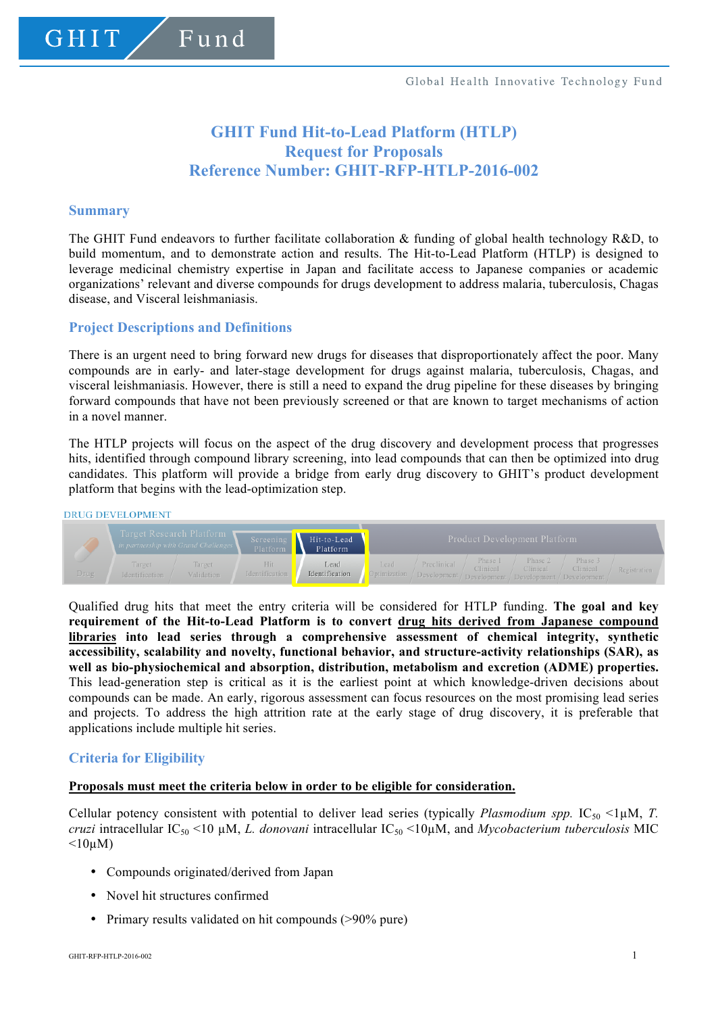# **GHIT Fund Hit-to-Lead Platform (HTLP) Request for Proposals Reference Number: GHIT-RFP-HTLP-2016-002**

# **Summary**

The GHIT Fund endeavors to further facilitate collaboration  $\&$  funding of global health technology R&D, to build momentum, and to demonstrate action and results. The Hit-to-Lead Platform (HTLP) is designed to leverage medicinal chemistry expertise in Japan and facilitate access to Japanese companies or academic organizations' relevant and diverse compounds for drugs development to address malaria, tuberculosis, Chagas disease, and Visceral leishmaniasis.

# **Project Descriptions and Definitions**

There is an urgent need to bring forward new drugs for diseases that disproportionately affect the poor. Many compounds are in early- and later-stage development for drugs against malaria, tuberculosis, Chagas, and visceral leishmaniasis. However, there is still a need to expand the drug pipeline for these diseases by bringing forward compounds that have not been previously screened or that are known to target mechanisms of action in a novel manner.

The HTLP projects will focus on the aspect of the drug discovery and development process that progresses hits, identified through compound library screening, into lead compounds that can then be optimized into drug candidates. This platform will provide a bridge from early drug discovery to GHIT's product development platform that begins with the lead-optimization step.

#### **DRUG DEVELOPMENT**



Qualified drug hits that meet the entry criteria will be considered for HTLP funding. **The goal and key requirement of the Hit-to-Lead Platform is to convert drug hits derived from Japanese compound libraries into lead series through a comprehensive assessment of chemical integrity, synthetic accessibility, scalability and novelty, functional behavior, and structure-activity relationships (SAR), as well as bio-physiochemical and absorption, distribution, metabolism and excretion (ADME) properties.** This lead-generation step is critical as it is the earliest point at which knowledge-driven decisions about compounds can be made. An early, rigorous assessment can focus resources on the most promising lead series and projects. To address the high attrition rate at the early stage of drug discovery, it is preferable that applications include multiple hit series.

# **Criteria for Eligibility**

#### **Proposals must meet the criteria below in order to be eligible for consideration.**

Cellular potency consistent with potential to deliver lead series (typically *Plasmodium spp.* IC<sub>50</sub> <1 $\mu$ M, *T. cruzi* intracellular IC<sub>50</sub> <10 μM, *L. donovani* intracellular IC<sub>50</sub> <10μM, and *Mycobacterium tuberculosis* MIC  $<10\mu$ M)

- Compounds originated/derived from Japan
- Novel hit structures confirmed
- Primary results validated on hit compounds (>90% pure)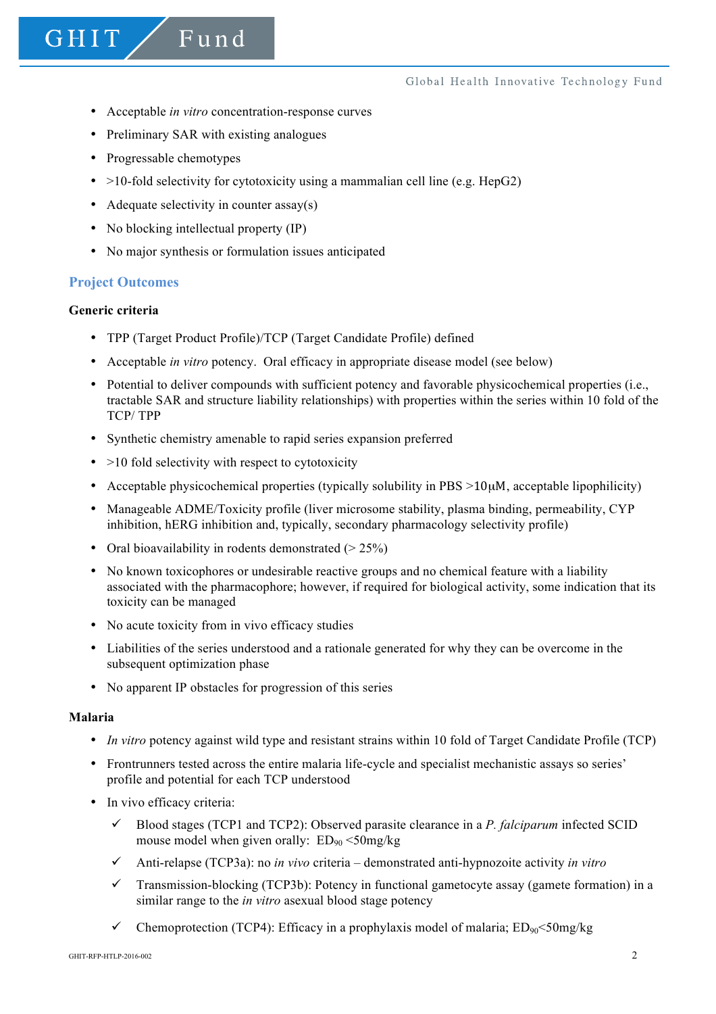- Acceptable *in vitro* concentration-response curves
- Preliminary SAR with existing analogues
- Progressable chemotypes
- $>10$ -fold selectivity for cytotoxicity using a mammalian cell line (e.g. HepG2)
- Adequate selectivity in counter assay(s)
- No blocking intellectual property (IP)
- No major synthesis or formulation issues anticipated

# **Project Outcomes**

# **Generic criteria**

- TPP (Target Product Profile)/TCP (Target Candidate Profile) defined
- Acceptable *in vitro* potency. Oral efficacy in appropriate disease model (see below)
- Potential to deliver compounds with sufficient potency and favorable physicochemical properties (i.e., tractable SAR and structure liability relationships) with properties within the series within 10 fold of the TCP/ TPP
- Synthetic chemistry amenable to rapid series expansion preferred
- $\bullet$  >10 fold selectivity with respect to cytotoxicity
- Acceptable physicochemical properties (typically solubility in PBS  $>10\mu$ M, acceptable lipophilicity)
- Manageable ADME/Toxicity profile (liver microsome stability, plasma binding, permeability, CYP inhibition, hERG inhibition and, typically, secondary pharmacology selectivity profile)
- Oral bioavailability in rodents demonstrated  $(> 25\%)$
- No known toxicophores or undesirable reactive groups and no chemical feature with a liability associated with the pharmacophore; however, if required for biological activity, some indication that its toxicity can be managed
- No acute toxicity from in vivo efficacy studies
- Liabilities of the series understood and a rationale generated for why they can be overcome in the subsequent optimization phase
- No apparent IP obstacles for progression of this series

#### **Malaria**

- *In vitro* potency against wild type and resistant strains within 10 fold of Target Candidate Profile (TCP)
- Frontrunners tested across the entire malaria life-cycle and specialist mechanistic assays so series' profile and potential for each TCP understood
- In vivo efficacy criteria:
	- $\checkmark$  Blood stages (TCP1 and TCP2): Observed parasite clearance in a *P. falciparum* infected SCID mouse model when given orally:  $ED_{90} < 50$ mg/kg
	- ü Anti-relapse (TCP3a): no *in vivo* criteria demonstrated anti-hypnozoite activity *in vitro*
	- $\checkmark$  Transmission-blocking (TCP3b): Potency in functional gametocyte assay (gamete formation) in a similar range to the *in vitro* asexual blood stage potency
	- $\checkmark$  Chemoprotection (TCP4): Efficacy in a prophylaxis model of malaria; ED<sub>90</sub><50mg/kg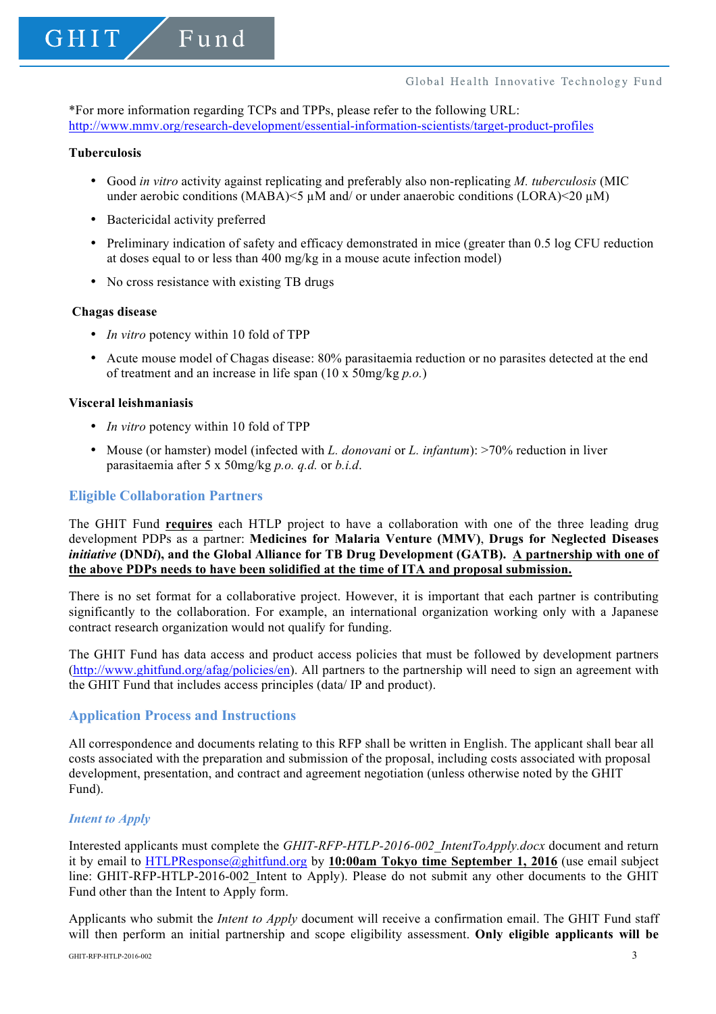\*For more information regarding TCPs and TPPs, please refer to the following URL: http://www.mmv.org/research-development/essential-information-scientists/target-product-profiles

# **Tuberculosis**

- Good *in vitro* activity against replicating and preferably also non-replicating *M. tuberculosis* (MIC under aerobic conditions (MABA) $\leq$ 5 uM and/ or under anaerobic conditions (LORA) $\leq$ 20 uM)
- Bactericidal activity preferred
- Preliminary indication of safety and efficacy demonstrated in mice (greater than 0.5 log CFU reduction at doses equal to or less than 400 mg/kg in a mouse acute infection model)
- No cross resistance with existing TB drugs

#### **Chagas disease**

- *In vitro* potency within 10 fold of TPP
- Acute mouse model of Chagas disease: 80% parasitaemia reduction or no parasites detected at the end of treatment and an increase in life span (10 x 50mg/kg *p.o.*)

#### **Visceral leishmaniasis**

- *In vitro* potency within 10 fold of TPP
- Mouse (or hamster) model (infected with *L. donovani* or *L. infantum*): >70% reduction in liver parasitaemia after 5 x 50mg/kg *p.o. q.d.* or *b.i.d*.

# **Eligible Collaboration Partners**

The GHIT Fund **requires** each HTLP project to have a collaboration with one of the three leading drug development PDPs as a partner: **Medicines for Malaria Venture (MMV)**, **Drugs for Neglected Diseases**  *initiative* **(DND***i***), and the Global Alliance for TB Drug Development (GATB). A partnership with one of the above PDPs needs to have been solidified at the time of ITA and proposal submission.**

There is no set format for a collaborative project. However, it is important that each partner is contributing significantly to the collaboration. For example, an international organization working only with a Japanese contract research organization would not qualify for funding.

The GHIT Fund has data access and product access policies that must be followed by development partners (http://www.ghitfund.org/afag/policies/en). All partners to the partnership will need to sign an agreement with the GHIT Fund that includes access principles (data/ IP and product).

#### **Application Process and Instructions**

All correspondence and documents relating to this RFP shall be written in English. The applicant shall bear all costs associated with the preparation and submission of the proposal, including costs associated with proposal development, presentation, and contract and agreement negotiation (unless otherwise noted by the GHIT Fund).

#### *Intent to Apply*

Interested applicants must complete the *GHIT-RFP-HTLP-2016-002\_IntentToApply.docx* document and return it by email to HTLPResponse@ghitfund.org by **10:00am Tokyo time September 1, 2016** (use email subject line: GHIT-RFP-HTLP-2016-002 Intent to Apply). Please do not submit any other documents to the GHIT Fund other than the Intent to Apply form.

Applicants who submit the *Intent to Apply* document will receive a confirmation email. The GHIT Fund staff will then perform an initial partnership and scope eligibility assessment. **Only eligible applicants will be**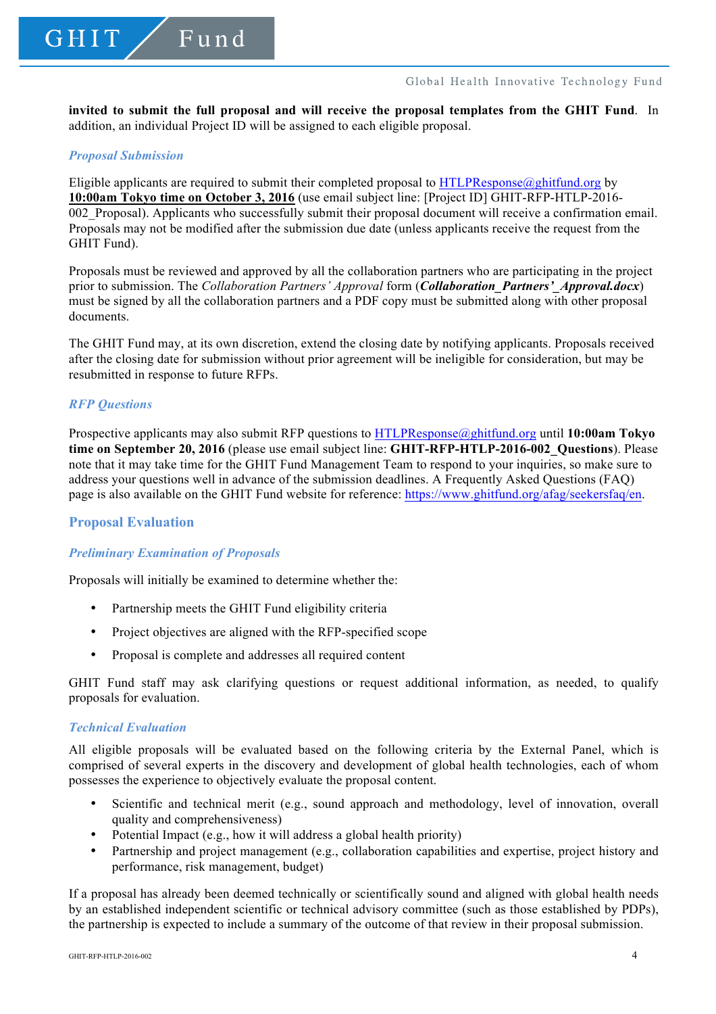#### Global Health Innovative Technology Fund

**invited to submit the full proposal and will receive the proposal templates from the GHIT Fund**. In addition, an individual Project ID will be assigned to each eligible proposal.

#### *Proposal Submission*

Eligible applicants are required to submit their completed proposal to HTLPResponse $\omega$ ghitfund.org by **10:00am Tokyo time on October 3, 2016** (use email subject line: [Project ID] GHIT-RFP-HTLP-2016- 002\_Proposal). Applicants who successfully submit their proposal document will receive a confirmation email. Proposals may not be modified after the submission due date (unless applicants receive the request from the GHIT Fund).

Proposals must be reviewed and approved by all the collaboration partners who are participating in the project prior to submission. The *Collaboration Partners' Approval* form (*Collaboration\_Partners'\_Approval.docx*) must be signed by all the collaboration partners and a PDF copy must be submitted along with other proposal documents.

The GHIT Fund may, at its own discretion, extend the closing date by notifying applicants. Proposals received after the closing date for submission without prior agreement will be ineligible for consideration, but may be resubmitted in response to future RFPs.

# *RFP Questions*

Prospective applicants may also submit RFP questions to HTLPResponse@ghitfund.org until **10:00am Tokyo time on September 20, 2016** (please use email subject line: **GHIT-RFP-HTLP-2016-002\_Questions**). Please note that it may take time for the GHIT Fund Management Team to respond to your inquiries, so make sure to address your questions well in advance of the submission deadlines. A Frequently Asked Questions (FAQ) page is also available on the GHIT Fund website for reference: https://www.ghitfund.org/afag/seekersfaq/en.

# **Proposal Evaluation**

# *Preliminary Examination of Proposals*

Proposals will initially be examined to determine whether the:

- Partnership meets the GHIT Fund eligibility criteria
- Project objectives are aligned with the RFP-specified scope
- Proposal is complete and addresses all required content

GHIT Fund staff may ask clarifying questions or request additional information, as needed, to qualify proposals for evaluation.

#### *Technical Evaluation*

All eligible proposals will be evaluated based on the following criteria by the External Panel, which is comprised of several experts in the discovery and development of global health technologies, each of whom possesses the experience to objectively evaluate the proposal content.

- Scientific and technical merit (e.g., sound approach and methodology, level of innovation, overall quality and comprehensiveness)
- Potential Impact (e.g., how it will address a global health priority)
- Partnership and project management (e.g., collaboration capabilities and expertise, project history and performance, risk management, budget)

If a proposal has already been deemed technically or scientifically sound and aligned with global health needs by an established independent scientific or technical advisory committee (such as those established by PDPs), the partnership is expected to include a summary of the outcome of that review in their proposal submission.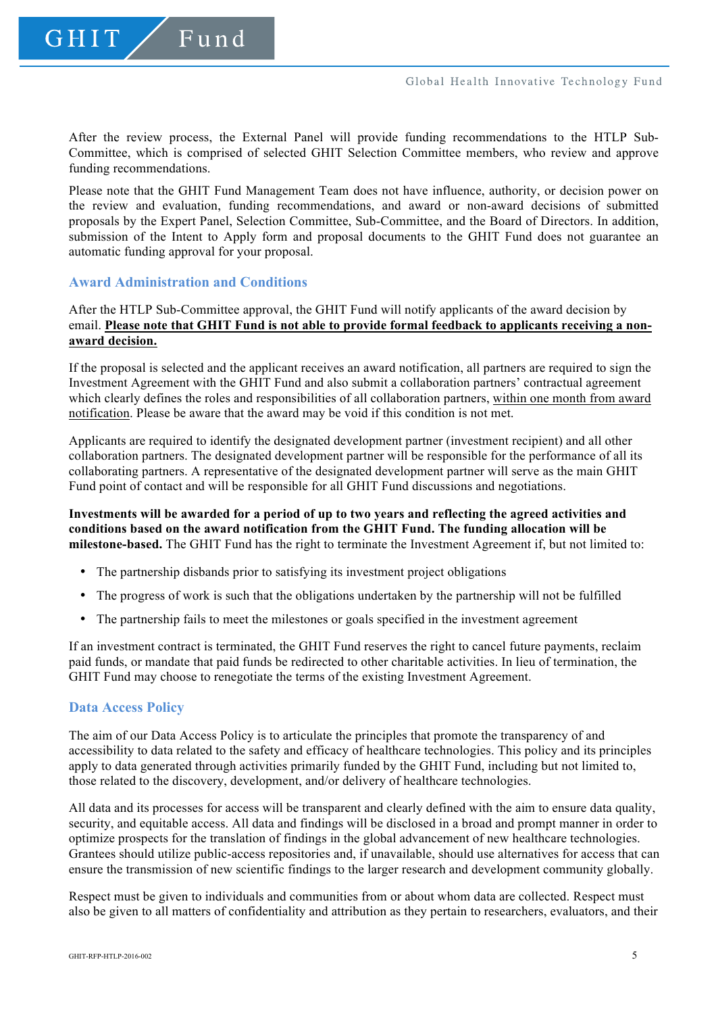Fund

GHIT

After the review process, the External Panel will provide funding recommendations to the HTLP Sub-Committee, which is comprised of selected GHIT Selection Committee members, who review and approve funding recommendations.

Please note that the GHIT Fund Management Team does not have influence, authority, or decision power on the review and evaluation, funding recommendations, and award or non-award decisions of submitted proposals by the Expert Panel, Selection Committee, Sub-Committee, and the Board of Directors. In addition, submission of the Intent to Apply form and proposal documents to the GHIT Fund does not guarantee an automatic funding approval for your proposal.

# **Award Administration and Conditions**

After the HTLP Sub-Committee approval, the GHIT Fund will notify applicants of the award decision by email. **Please note that GHIT Fund is not able to provide formal feedback to applicants receiving a nonaward decision.**

If the proposal is selected and the applicant receives an award notification, all partners are required to sign the Investment Agreement with the GHIT Fund and also submit a collaboration partners' contractual agreement which clearly defines the roles and responsibilities of all collaboration partners, within one month from award notification. Please be aware that the award may be void if this condition is not met.

Applicants are required to identify the designated development partner (investment recipient) and all other collaboration partners. The designated development partner will be responsible for the performance of all its collaborating partners. A representative of the designated development partner will serve as the main GHIT Fund point of contact and will be responsible for all GHIT Fund discussions and negotiations.

**Investments will be awarded for a period of up to two years and reflecting the agreed activities and conditions based on the award notification from the GHIT Fund. The funding allocation will be milestone-based.** The GHIT Fund has the right to terminate the Investment Agreement if, but not limited to:

- The partnership disbands prior to satisfying its investment project obligations
- The progress of work is such that the obligations undertaken by the partnership will not be fulfilled
- The partnership fails to meet the milestones or goals specified in the investment agreement

If an investment contract is terminated, the GHIT Fund reserves the right to cancel future payments, reclaim paid funds, or mandate that paid funds be redirected to other charitable activities. In lieu of termination, the GHIT Fund may choose to renegotiate the terms of the existing Investment Agreement.

#### **Data Access Policy**

The aim of our Data Access Policy is to articulate the principles that promote the transparency of and accessibility to data related to the safety and efficacy of healthcare technologies. This policy and its principles apply to data generated through activities primarily funded by the GHIT Fund, including but not limited to, those related to the discovery, development, and/or delivery of healthcare technologies.

All data and its processes for access will be transparent and clearly defined with the aim to ensure data quality, security, and equitable access. All data and findings will be disclosed in a broad and prompt manner in order to optimize prospects for the translation of findings in the global advancement of new healthcare technologies. Grantees should utilize public-access repositories and, if unavailable, should use alternatives for access that can ensure the transmission of new scientific findings to the larger research and development community globally.

Respect must be given to individuals and communities from or about whom data are collected. Respect must also be given to all matters of confidentiality and attribution as they pertain to researchers, evaluators, and their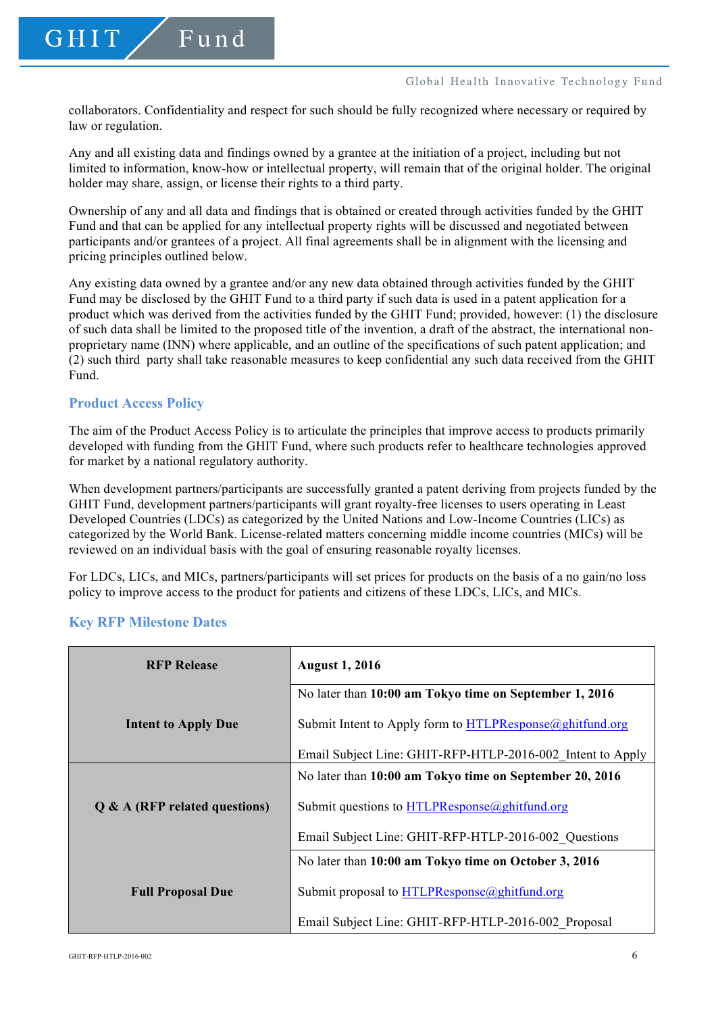collaborators. Confidentiality and respect for such should be fully recognized where necessary or required by law or regulation.

Any and all existing data and findings owned by a grantee at the initiation of a project, including but not limited to information, know-how or intellectual property, will remain that of the original holder. The original holder may share, assign, or license their rights to a third party.

Ownership of any and all data and findings that is obtained or created through activities funded by the GHIT Fund and that can be applied for any intellectual property rights will be discussed and negotiated between participants and/or grantees of a project. All final agreements shall be in alignment with the licensing and pricing principles outlined below.

Any existing data owned by a grantee and/or any new data obtained through activities funded by the GHIT Fund may be disclosed by the GHIT Fund to a third party if such data is used in a patent application for a product which was derived from the activities funded by the GHIT Fund; provided, however: (1) the disclosure of such data shall be limited to the proposed title of the invention, a draft of the abstract, the international nonproprietary name (INN) where applicable, and an outline of the specifications of such patent application; and (2) such third party shall take reasonable measures to keep confidential any such data received from the GHIT Fund.

# **Product Access Policy**

The aim of the Product Access Policy is to articulate the principles that improve access to products primarily developed with funding from the GHIT Fund, where such products refer to healthcare technologies approved for market by a national regulatory authority.

When development partners/participants are successfully granted a patent deriving from projects funded by the GHIT Fund, development partners/participants will grant royalty-free licenses to users operating in Least Developed Countries (LDCs) as categorized by the United Nations and Low-Income Countries (LICs) as categorized by the World Bank. License-related matters concerning middle income countries (MICs) will be reviewed on an individual basis with the goal of ensuring reasonable royalty licenses.

For LDCs, LICs, and MICs, partners/participants will set prices for products on the basis of a no gain/no loss policy to improve access to the product for patients and citizens of these LDCs, LICs, and MICs.

|  |  |  | <b>Key RFP Milestone Dates</b> |  |
|--|--|--|--------------------------------|--|
|--|--|--|--------------------------------|--|

| <b>RFP Release</b>              | <b>August 1, 2016</b>                                                    |  |
|---------------------------------|--------------------------------------------------------------------------|--|
|                                 | No later than 10:00 am Tokyo time on September 1, 2016                   |  |
| <b>Intent to Apply Due</b>      | Submit Intent to Apply form to $\overline{HTLPResponse}(a)$ ghitfund.org |  |
|                                 | Email Subject Line: GHIT-RFP-HTLP-2016-002 Intent to Apply               |  |
|                                 | No later than 10:00 am Tokyo time on September 20, 2016                  |  |
| $Q & A$ (RFP related questions) | Submit questions to $HTLPResponse$ @ghitfund.org                         |  |
|                                 | Email Subject Line: GHIT-RFP-HTLP-2016-002 Questions                     |  |
|                                 | No later than 10:00 am Tokyo time on October 3, 2016                     |  |
| <b>Full Proposal Due</b>        | Submit proposal to HTLPResponse@ghitfund.org                             |  |
|                                 | Email Subject Line: GHIT-RFP-HTLP-2016-002 Proposal                      |  |